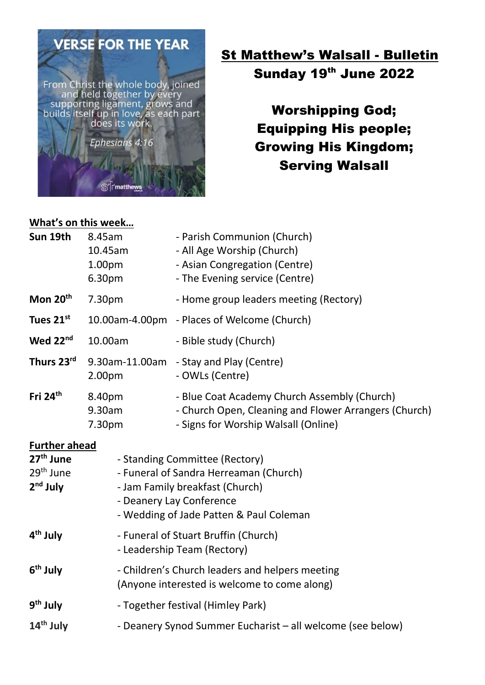

# **St Matthew's Walsall - Bulletin** Sunday 19th June 2022

Worshipping God; Equipping His people; Growing His Kingdom; Serving Walsall

#### What's on this week…

| Sun 19th                                                                             | 8.45am<br>10.45am<br>1.00pm<br>6.30pm                                                                                                                                              | - Parish Communion (Church)<br>- All Age Worship (Church)<br>- Asian Congregation (Centre)<br>- The Evening service (Centre)                  |
|--------------------------------------------------------------------------------------|------------------------------------------------------------------------------------------------------------------------------------------------------------------------------------|-----------------------------------------------------------------------------------------------------------------------------------------------|
| Mon 20 <sup>th</sup>                                                                 | 7.30pm                                                                                                                                                                             | - Home group leaders meeting (Rectory)                                                                                                        |
| Tues 21st                                                                            |                                                                                                                                                                                    | 10.00am-4.00pm - Places of Welcome (Church)                                                                                                   |
| Wed 22 <sup>nd</sup>                                                                 | 10.00am                                                                                                                                                                            | - Bible study (Church)                                                                                                                        |
| Thurs 23rd                                                                           | 2.00 <sub>pm</sub>                                                                                                                                                                 | 9.30am-11.00am - Stay and Play (Centre)<br>- OWLs (Centre)                                                                                    |
| Fri $24th$                                                                           | 8.40pm<br>9.30am<br>7.30pm                                                                                                                                                         | - Blue Coat Academy Church Assembly (Church)<br>- Church Open, Cleaning and Flower Arrangers (Church)<br>- Signs for Worship Walsall (Online) |
| <b>Further ahead</b><br>27 <sup>th</sup> June<br>29 <sup>th</sup> June<br>$2nd$ July | - Standing Committee (Rectory)<br>- Funeral of Sandra Herreaman (Church)<br>- Jam Family breakfast (Church)<br>- Deanery Lay Conference<br>- Wedding of Jade Patten & Paul Coleman |                                                                                                                                               |
| 4 <sup>th</sup> July                                                                 | - Funeral of Stuart Bruffin (Church)<br>- Leadership Team (Rectory)                                                                                                                |                                                                                                                                               |
| 6 <sup>th</sup> July                                                                 | - Children's Church leaders and helpers meeting<br>(Anyone interested is welcome to come along)                                                                                    |                                                                                                                                               |
| 9 <sup>th</sup> July                                                                 | - Together festival (Himley Park)                                                                                                                                                  |                                                                                                                                               |
| 14 <sup>th</sup> July                                                                | - Deanery Synod Summer Eucharist - all welcome (see below)                                                                                                                         |                                                                                                                                               |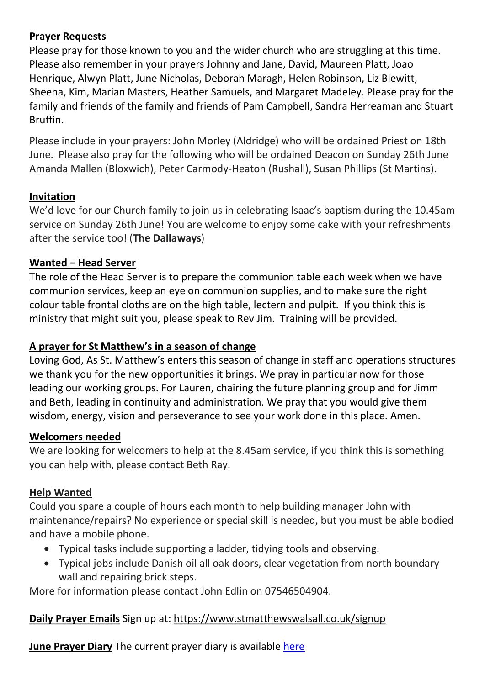### Prayer Requests

Please pray for those known to you and the wider church who are struggling at this time. Please also remember in your prayers Johnny and Jane, David, Maureen Platt, Joao Henrique, Alwyn Platt, June Nicholas, Deborah Maragh, Helen Robinson, Liz Blewitt, Sheena, Kim, Marian Masters, Heather Samuels, and Margaret Madeley. Please pray for the family and friends of the family and friends of Pam Campbell, Sandra Herreaman and Stuart Bruffin.

Please include in your prayers: John Morley (Aldridge) who will be ordained Priest on 18th June. Please also pray for the following who will be ordained Deacon on Sunday 26th June Amanda Mallen (Bloxwich), Peter Carmody-Heaton (Rushall), Susan Phillips (St Martins).

# Invitation

We'd love for our Church family to join us in celebrating Isaac's baptism during the 10.45am service on Sunday 26th June! You are welcome to enjoy some cake with your refreshments after the service too! (The Dallaways)

# Wanted – Head Server

The role of the Head Server is to prepare the communion table each week when we have communion services, keep an eye on communion supplies, and to make sure the right colour table frontal cloths are on the high table, lectern and pulpit. If you think this is ministry that might suit you, please speak to Rev Jim. Training will be provided.

# A prayer for St Matthew's in a season of change

Loving God, As St. Matthew's enters this season of change in staff and operations structures we thank you for the new opportunities it brings. We pray in particular now for those leading our working groups. For Lauren, chairing the future planning group and for Jimm and Beth, leading in continuity and administration. We pray that you would give them wisdom, energy, vision and perseverance to see your work done in this place. Amen.

# Welcomers needed

We are looking for welcomers to help at the 8.45am service, if you think this is something you can help with, please contact Beth Ray.

# Help Wanted

Could you spare a couple of hours each month to help building manager John with maintenance/repairs? No experience or special skill is needed, but you must be able bodied and have a mobile phone.

- Typical tasks include supporting a ladder, tidying tools and observing.
- Typical jobs include Danish oil all oak doors, clear vegetation from north boundary wall and repairing brick steps.

More for information please contact John Edlin on 07546504904.

# Daily Prayer Emails Sign up at: https://www.stmatthewswalsall.co.uk/signup

June Prayer Diary The current prayer diary is available here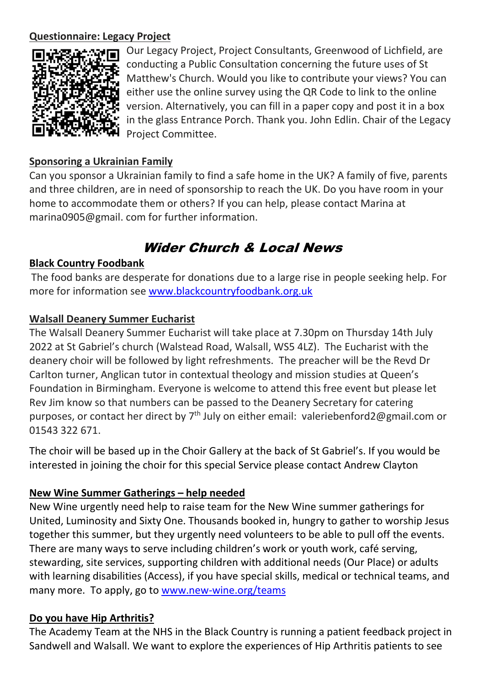#### Questionnaire: Legacy Project



Our Legacy Project, Project Consultants, Greenwood of Lichfield, are conducting a Public Consultation concerning the future uses of St Matthew's Church. Would you like to contribute your views? You can either use the online survey using the QR Code to link to the online version. Alternatively, you can fill in a paper copy and post it in a box in the glass Entrance Porch. Thank you. John Edlin. Chair of the Legacy Project Committee.

### Sponsoring a Ukrainian Family

Can you sponsor a Ukrainian family to find a safe home in the UK? A family of five, parents and three children, are in need of sponsorship to reach the UK. Do you have room in your home to accommodate them or others? If you can help, please contact Marina at marina0905@gmail. com for further information.

# Wider Church & Local News

#### Black Country Foodbank

The food banks are desperate for donations due to a large rise in people seeking help. For more for information see www.blackcountryfoodbank.org.uk

#### Walsall Deanery Summer Eucharist

The Walsall Deanery Summer Eucharist will take place at 7.30pm on Thursday 14th July 2022 at St Gabriel's church (Walstead Road, Walsall, WS5 4LZ). The Eucharist with the deanery choir will be followed by light refreshments. The preacher will be the Revd Dr Carlton turner, Anglican tutor in contextual theology and mission studies at Queen's Foundation in Birmingham. Everyone is welcome to attend this free event but please let Rev Jim know so that numbers can be passed to the Deanery Secretary for catering purposes, or contact her direct by  $7<sup>th</sup>$  July on either email: valeriebenford2@gmail.com or 01543 322 671.

The choir will be based up in the Choir Gallery at the back of St Gabriel's. If you would be interested in joining the choir for this special Service please contact Andrew Clayton

# New Wine Summer Gatherings – help needed

New Wine urgently need help to raise team for the New Wine summer gatherings for United, Luminosity and Sixty One. Thousands booked in, hungry to gather to worship Jesus together this summer, but they urgently need volunteers to be able to pull off the events. There are many ways to serve including children's work or youth work, café serving, stewarding, site services, supporting children with additional needs (Our Place) or adults with learning disabilities (Access), if you have special skills, medical or technical teams, and many more. To apply, go to www.new-wine.org/teams

#### Do you have Hip Arthritis?

The Academy Team at the NHS in the Black Country is running a patient feedback project in Sandwell and Walsall. We want to explore the experiences of Hip Arthritis patients to see